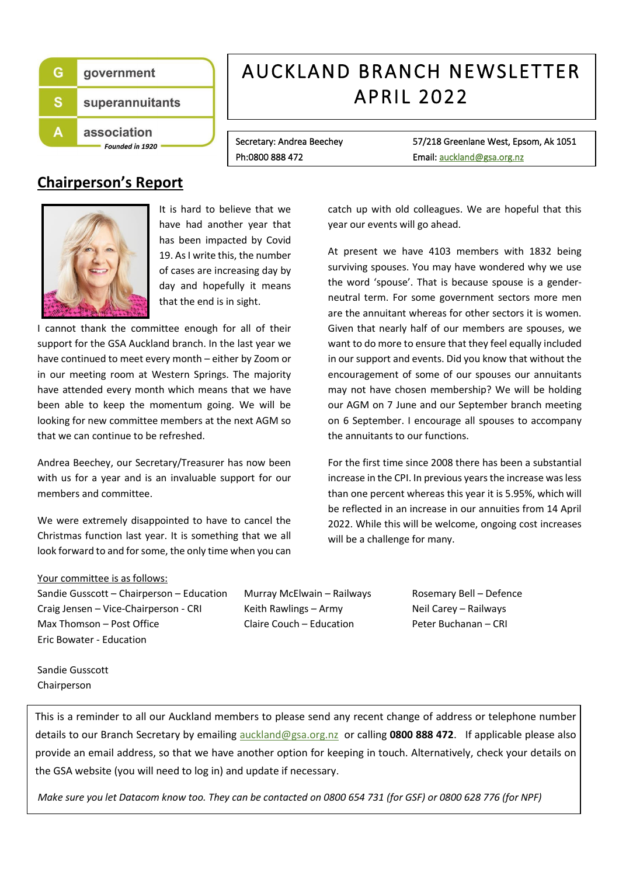

# AUCKLAND BRANCH NEWSLETTER APRIL 2022

Secretary: Andrea Beechey 57/218 Greenlane West, Epsom, Ak 1051 Ph:0800 888 472 **Email:** auckland@gsa.org.nz

## **Chairperson's Report**



It is hard to believe that we have had another year that has been impacted by Covid 19. As I write this, the number of cases are increasing day by day and hopefully it means that the end is in sight.

I cannot thank the committee enough for all of their support for the GSA Auckland branch. In the last year we have continued to meet every month – either by Zoom or in our meeting room at Western Springs. The majority have attended every month which means that we have been able to keep the momentum going. We will be looking for new committee members at the next AGM so that we can continue to be refreshed.

Andrea Beechey, our Secretary/Treasurer has now been with us for a year and is an invaluable support for our members and committee.

We were extremely disappointed to have to cancel the Christmas function last year. It is something that we all look forward to and for some, the only time when you can catch up with old colleagues. We are hopeful that this year our events will go ahead.

At present we have 4103 members with 1832 being surviving spouses. You may have wondered why we use the word 'spouse'. That is because spouse is a genderneutral term. For some government sectors more men are the annuitant whereas for other sectors it is women. Given that nearly half of our members are spouses, we want to do more to ensure that they feel equally included in our support and events. Did you know that without the encouragement of some of our spouses our annuitants may not have chosen membership? We will be holding our AGM on 7 June and our September branch meeting on 6 September. I encourage all spouses to accompany the annuitants to our functions.

For the first time since 2008 there has been a substantial increase in the CPI. In previous years the increase was less than one percent whereas this year it is 5.95%, which will be reflected in an increase in our annuities from 14 April 2022. While this will be welcome, ongoing cost increases will be a challenge for many.

#### Your committee is as follows:

Sandie Gusscott – Chairperson – Education Murray McElwain – Railways Rosemary Bell – Defence Craig Jensen – Vice-Chairperson - CRI Keith Rawlings – Army Neil Carey – Railways Max Thomson – Post Office The Claire Couch – Education Peter Buchanan – CRI Eric Bowater - Education

Sandie Gusscott Chairperson

This is a reminder to all our Auckland members to please send any recent change of address or telephone number details to our Branch Secretary by emailing [auckland@gsa.org.nz](mailto:auckland@gsa.org.nz) or calling **0800 888 472**. If applicable please also provide an email address, so that we have another option for keeping in touch. Alternatively, check your details on the GSA website (you will need to log in) and update if necessary.

*Make sure you let Datacom know too. They can be contacted on 0800 654 731 (for GSF) or 0800 628 776 (for NPF)*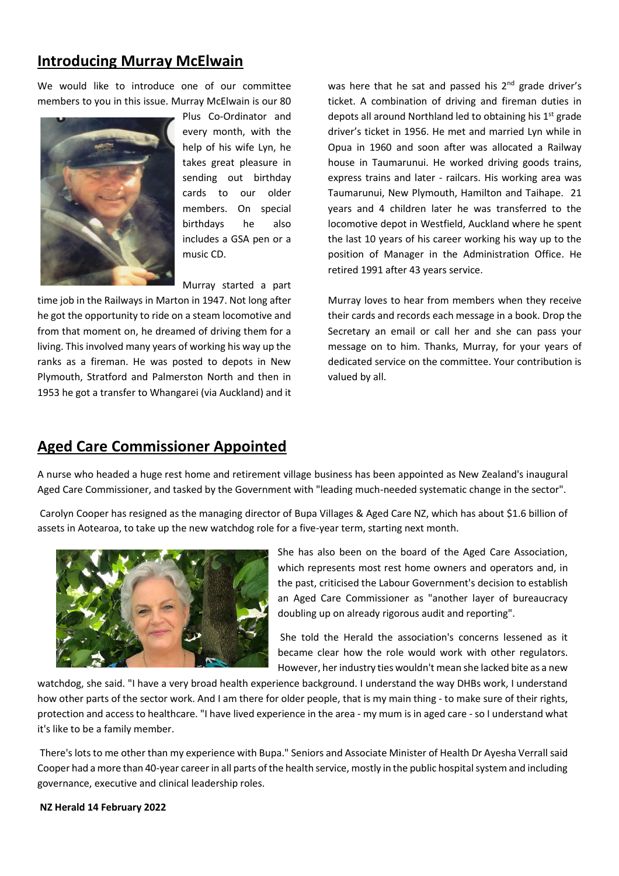#### **Introducing Murray McElwain**

We would like to introduce one of our committee members to you in this issue. Murray McElwain is our 80



Plus Co-Ordinator and every month, with the help of his wife Lyn, he takes great pleasure in sending out birthday cards to our older members. On special birthdays he also includes a GSA pen or a music CD.

Murray started a part

time job in the Railways in Marton in 1947. Not long after he got the opportunity to ride on a steam locomotive and from that moment on, he dreamed of driving them for a living. This involved many years of working his way up the ranks as a fireman. He was posted to depots in New Plymouth, Stratford and Palmerston North and then in 1953 he got a transfer to Whangarei (via Auckland) and it was here that he sat and passed his 2<sup>nd</sup> grade driver's ticket. A combination of driving and fireman duties in depots all around Northland led to obtaining his  $1<sup>st</sup>$  grade driver's ticket in 1956. He met and married Lyn while in Opua in 1960 and soon after was allocated a Railway house in Taumarunui. He worked driving goods trains, express trains and later - railcars. His working area was Taumarunui, New Plymouth, Hamilton and Taihape. 21 years and 4 children later he was transferred to the locomotive depot in Westfield, Auckland where he spent the last 10 years of his career working his way up to the position of Manager in the Administration Office. He retired 1991 after 43 years service.

Murray loves to hear from members when they receive their cards and records each message in a book. Drop the Secretary an email or call her and she can pass your message on to him. Thanks, Murray, for your years of dedicated service on the committee. Your contribution is valued by all.

### **Aged Care Commissioner Appointed**

A nurse who headed a huge rest home and retirement village business has been appointed as New Zealand's inaugural Aged Care Commissioner, and tasked by the Government with "leading much-needed systematic change in the sector".

Carolyn Cooper has resigned as the managing director of Bupa Villages & Aged Care NZ, which has about \$1.6 billion of assets in Aotearoa, to take up the new watchdog role for a five-year term, starting next month.



She has also been on the board of the Aged Care Association, which represents most rest home owners and operators and, in the past, criticised the Labour Government's decision to establish an Aged Care Commissioner as "another layer of bureaucracy doubling up on already rigorous audit and reporting".

She told the Herald the association's concerns lessened as it became clear how the role would work with other regulators. However, her industry ties wouldn't mean she lacked bite as a new

watchdog, she said. "I have a very broad health experience background. I understand the way DHBs work, I understand how other parts of the sector work. And I am there for older people, that is my main thing - to make sure of their rights, protection and access to healthcare. "I have lived experience in the area - my mum is in aged care - so I understand what it's like to be a family member.

There's lots to me other than my experience with Bupa." Seniors and Associate Minister of Health Dr Ayesha Verrall said Cooper had a more than 40-year career in all parts of the health service, mostly in the public hospital system and including governance, executive and clinical leadership roles.

**NZ Herald 14 February 2022**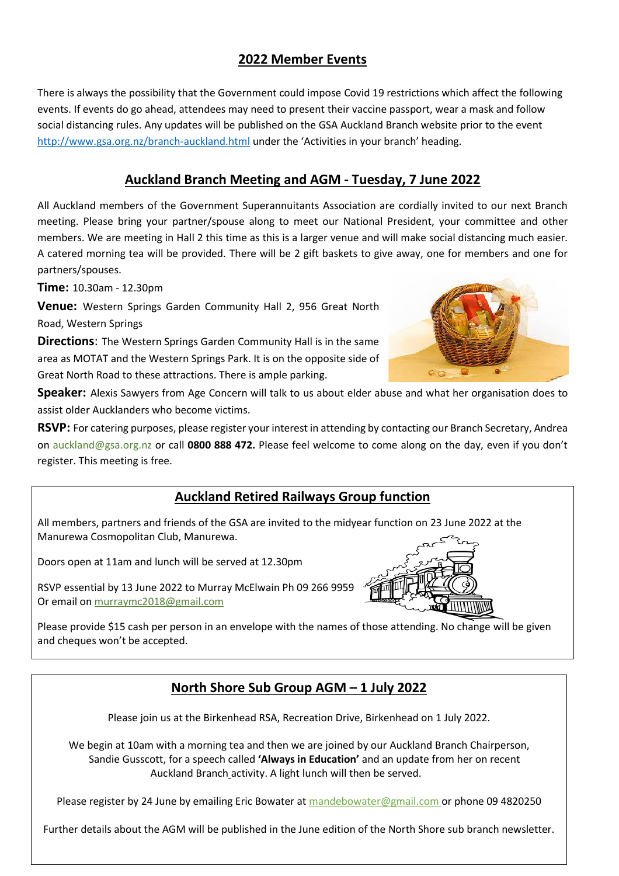#### **2022 Member Events**

There is always the possibility that the Government could impose Covid 19 restrictions which affect the following events. If events do go ahead, attendees may need to present their vaccine passport, wear a mask and follow social distancing rules. Any updates will be published on the GSA Auckland Branch website prior to the event <http://www.gsa.org.nz/branch-auckland.html> under the 'Activities in your branch' heading.

#### **Auckland Branch Meeting and AGM - Tuesday, 7 June 2022**

All Auckland members of the Government Superannuitants Association are cordially invited to our next Branch meeting. Please bring your partner/spouse along to meet our National President, your committee and other members. We are meeting in Hall 2 this time as this is a larger venue and will make social distancing much easier. A catered morning tea will be provided. There will be 2 gift baskets to give away, one for members and one for partners/spouses.

**Time:** 10.30am - 12.30pm

**Venue:** Western Springs Garden Community Hall 2, 956 Great North Road, Western Springs

**Directions**: The Western Springs Garden Community Hall is in the same area as MOTAT and the Western Springs Park. It is on the opposite side of Great North Road to these attractions. There is ample parking.



**Speaker:** Alexis Sawyers from Age Concern will talk to us about elder abuse and what her organisation does to assist older Aucklanders who become victims.

**RSVP:** For catering purposes, please register your interest in attending by contacting our Branch Secretary, Andrea on auckland@gsa.org.nz or call **0800 888 472.** Please feel welcome to come along on the day, even if you don't register. This meeting is free.

### **Auckland Retired Railways Group function**

All members, partners and friends of the GSA are invited to the midyear function on 23 June 2022 at the Manurewa Cosmopolitan Club, Manurewa.

Doors open at 11am and lunch will be served at 12.30pm

RSVP essential by 13 June 2022 to Murray McElwain Ph 09 266 9959 Or email o[n murraymc2018@gmail.com](mailto:murraymc2018@gmail.com)

Please provide \$15 cash per person in an envelope with the names of those attending. No change will be given and cheques won't be accepted.

### **North Shore Sub Group AGM – 1 July 2022**

Please join us at the Birkenhead RSA, Recreation Drive, Birkenhead on 1 July 2022.

We begin at 10am with a morning tea and then we are joined by our Auckland Branch Chairperson, Sandie Gusscott, for a speech called **'Always in Education'** and an update from her on recent Auckland Branch activity. A light lunch will then be served.

Please register by 24 June by emailing Eric Bowater at [mandebowater@gmail.com](mailto:mandebowater@gmail.com) or phone 09 4820250

Further details about the AGM will be published in the June edition of the North Shore sub branch newsletter.